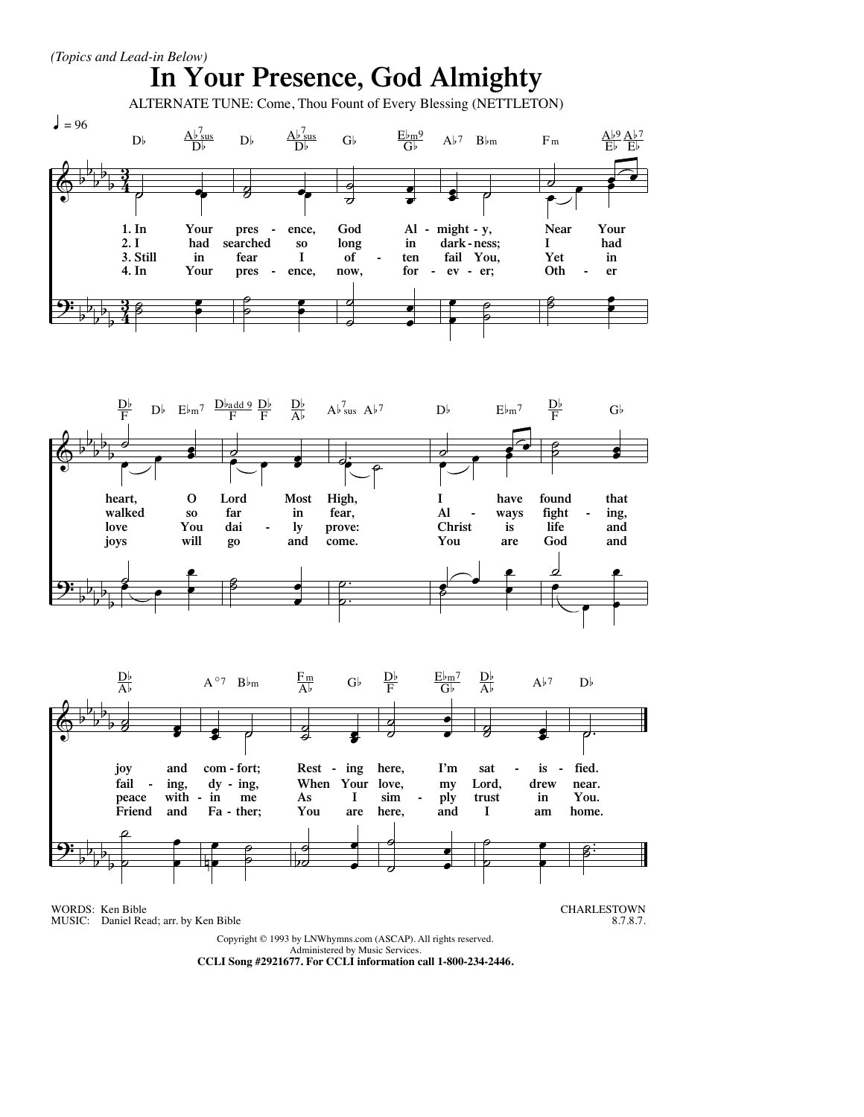

Copyright © 1993 by LNWhymns.com (ASCAP). All rights reserved. Administered by Music Services.

**CCLI Song #2921677. For CCLI information call 1-800-234-2446.**